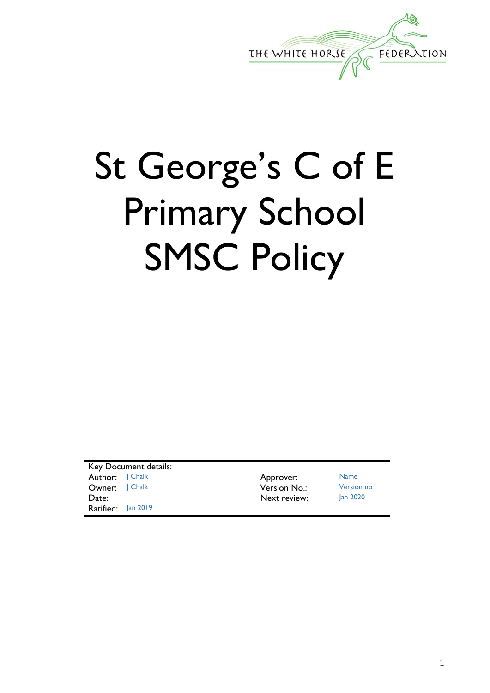

# St George's C of E Primary School SMSC Policy

Key Document details: Author: J Chalk **Approver:** Name **Owner:** J Chalk **Version No.:** Version no Date: Jan 2020 Ratified: Jan 2019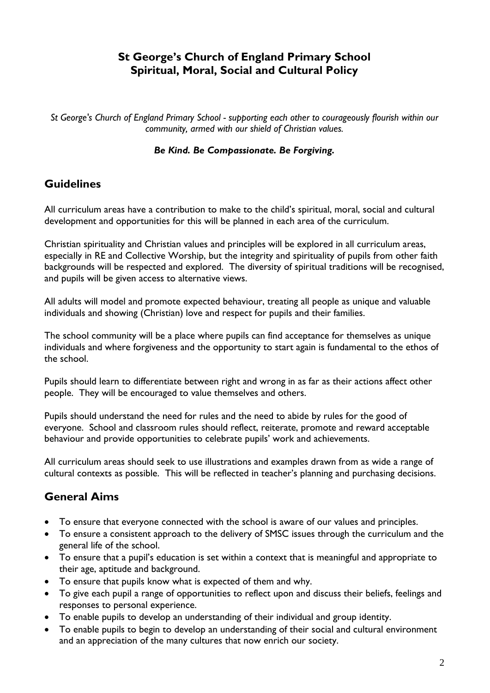## **St George's Church of England Primary School Spiritual, Moral, Social and Cultural Policy**

*St George's Church of England Primary School - supporting each other to courageously flourish within our community, armed with our shield of Christian values.* 

#### *Be Kind. Be Compassionate. Be Forgiving.*

## **Guidelines**

All curriculum areas have a contribution to make to the child's spiritual, moral, social and cultural development and opportunities for this will be planned in each area of the curriculum.

Christian spirituality and Christian values and principles will be explored in all curriculum areas, especially in RE and Collective Worship, but the integrity and spirituality of pupils from other faith backgrounds will be respected and explored. The diversity of spiritual traditions will be recognised, and pupils will be given access to alternative views.

All adults will model and promote expected behaviour, treating all people as unique and valuable individuals and showing (Christian) love and respect for pupils and their families.

The school community will be a place where pupils can find acceptance for themselves as unique individuals and where forgiveness and the opportunity to start again is fundamental to the ethos of the school.

Pupils should learn to differentiate between right and wrong in as far as their actions affect other people. They will be encouraged to value themselves and others.

Pupils should understand the need for rules and the need to abide by rules for the good of everyone. School and classroom rules should reflect, reiterate, promote and reward acceptable behaviour and provide opportunities to celebrate pupils' work and achievements.

All curriculum areas should seek to use illustrations and examples drawn from as wide a range of cultural contexts as possible. This will be reflected in teacher's planning and purchasing decisions.

## **General Aims**

- To ensure that everyone connected with the school is aware of our values and principles.
- To ensure a consistent approach to the delivery of SMSC issues through the curriculum and the general life of the school.
- To ensure that a pupil's education is set within a context that is meaningful and appropriate to their age, aptitude and background.
- To ensure that pupils know what is expected of them and why.
- To give each pupil a range of opportunities to reflect upon and discuss their beliefs, feelings and responses to personal experience.
- To enable pupils to develop an understanding of their individual and group identity.
- To enable pupils to begin to develop an understanding of their social and cultural environment and an appreciation of the many cultures that now enrich our society.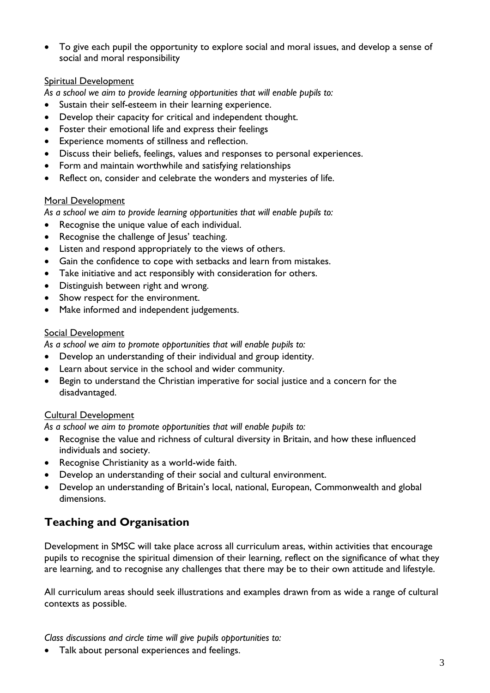To give each pupil the opportunity to explore social and moral issues, and develop a sense of social and moral responsibility

#### Spiritual Development

*As a school we aim to provide learning opportunities that will enable pupils to:*

- Sustain their self-esteem in their learning experience.
- Develop their capacity for critical and independent thought.
- Foster their emotional life and express their feelings
- Experience moments of stillness and reflection.
- Discuss their beliefs, feelings, values and responses to personal experiences.
- Form and maintain worthwhile and satisfying relationships
- Reflect on, consider and celebrate the wonders and mysteries of life.

#### Moral Development

*As a school we aim to provide learning opportunities that will enable pupils to:*

- Recognise the unique value of each individual.
- Recognise the challenge of Jesus' teaching.
- Listen and respond appropriately to the views of others.
- Gain the confidence to cope with setbacks and learn from mistakes.
- Take initiative and act responsibly with consideration for others.
- Distinguish between right and wrong.
- Show respect for the environment.
- Make informed and independent judgements.

#### Social Development

*As a school we aim to promote opportunities that will enable pupils to:*

- Develop an understanding of their individual and group identity.
- Learn about service in the school and wider community.
- Begin to understand the Christian imperative for social justice and a concern for the disadvantaged.

#### Cultural Development

*As a school we aim to promote opportunities that will enable pupils to:*

- Recognise the value and richness of cultural diversity in Britain, and how these influenced individuals and society.
- Recognise Christianity as a world-wide faith.
- Develop an understanding of their social and cultural environment.
- Develop an understanding of Britain's local, national, European, Commonwealth and global dimensions.

## **Teaching and Organisation**

Development in SMSC will take place across all curriculum areas, within activities that encourage pupils to recognise the spiritual dimension of their learning, reflect on the significance of what they are learning, and to recognise any challenges that there may be to their own attitude and lifestyle.

All curriculum areas should seek illustrations and examples drawn from as wide a range of cultural contexts as possible.

*Class discussions and circle time will give pupils opportunities to:*

Talk about personal experiences and feelings.